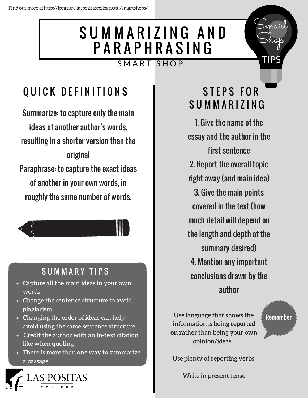## SUMMARIZING AND **PARAPHRASING** SMART SHOP

# QUICK DEFINITIONS

Summarize: to capture only the main ideas of another author's words, resulting in a shorter version than the original Paraphrase: to capture the exact ideas of another in your own words, in roughly the same number of words.



### SUMMARY TIPS

- Capture all the main ideas in your own words
- Change the sentence structure to avoid plagiarism
- Changing the order of ideas can help avoid using the same sentence structure
- Credit the author with an in-text citation, like when quoting
- There is more than one way to summarize a passage



## STEPS FOR S U M M A R I Z I N G

Smart

Shop

TIPS

1. Give the name of the essay and the author in the first sentence 2. Report the overall topic right away (and main idea) 3. Give the main points covered in the text (how much detail will depend on the length and depth of the summary desired) 4. Mention any important conclusions drawn by the author

Use language that shows the information is being reported on rather than being your own opinion/ideas.

Remember

Use plenty of reporting verbs

Write in present tense